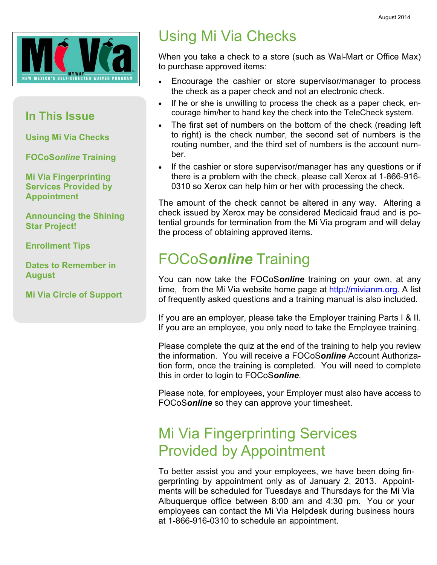

### In This Issue

Using Mi Via Checks

FOCoSonline Training

Mi Via Fingerprinting Services Provided by Appointment

Announcing the Shining Star Project!

Enrollment Tips

Dates to Remember in **August** 

Mi Via Circle of Support

## Using Mi Via Checks

When you take a check to a store (such as Wal-Mart or Office Max) to purchase approved items:

- Encourage the cashier or store supervisor/manager to process the check as a paper check and not an electronic check.
- If he or she is unwilling to process the check as a paper check, encourage him/her to hand key the check into the TeleCheck system.
- The first set of numbers on the bottom of the check (reading left to right) is the check number, the second set of numbers is the routing number, and the third set of numbers is the account number.
- If the cashier or store supervisor/manager has any questions or if there is a problem with the check, please call Xerox at 1-866-916- 0310 so Xerox can help him or her with processing the check.

The amount of the check cannot be altered in any way. Altering a check issued by Xerox may be considered Medicaid fraud and is potential grounds for termination from the Mi Via program and will delay the process of obtaining approved items.

## FOCoSonline Training

You can now take the FOCoSonline training on your own, at any time, from the Mi Via website home page at http://mivianm.org. A list of frequently asked questions and a training manual is also included.

If you are an employer, please take the Employer training Parts I & II. If you are an employee, you only need to take the Employee training.

Please complete the quiz at the end of the training to help you review the information. You will receive a FOCoSonline Account Authorization form, once the training is completed. You will need to complete this in order to login to FOCoSonline.

Please note, for employees, your Employer must also have access to FOCoSonline so they can approve your timesheet.

## Mi Via Fingerprinting Services Provided by Appointment

To better assist you and your employees, we have been doing fingerprinting by appointment only as of January 2, 2013. Appointments will be scheduled for Tuesdays and Thursdays for the Mi Via Albuquerque office between 8:00 am and 4:30 pm. You or your employees can contact the Mi Via Helpdesk during business hours at 1-866-916-0310 to schedule an appointment.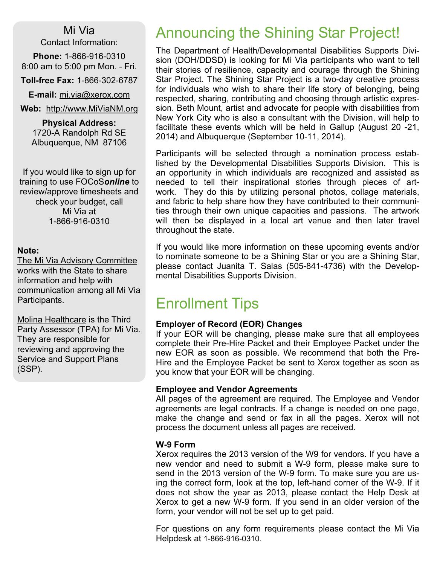Mi Via

Contact Information:

Phone: 1-866-916-0310 8:00 am to 5:00 pm Mon. - Fri.

Toll-free Fax: 1-866-302-6787

E-mail: mi.via@xerox.com

Web: http://www.MiViaNM.org

Physical Address: 1720-A Randolph Rd SE Albuquerque, NM 87106

If you would like to sign up for training to use FOCoSonline to review/approve timesheets and check your budget, call Mi Via at 1-866-916-0310

#### Note:

The Mi Via Advisory Committee works with the State to share information and help with communication among all Mi Via Participants.

Molina Healthcare is the Third Party Assessor (TPA) for Mi Via. They are responsible for reviewing and approving the Service and Support Plans (SSP).

## Announcing the Shining Star Project!

The Department of Health/Developmental Disabilities Supports Division (DOH/DDSD) is looking for Mi Via participants who want to tell their stories of resilience, capacity and courage through the Shining Star Project. The Shining Star Project is a two-day creative process for individuals who wish to share their life story of belonging, being respected, sharing, contributing and choosing through artistic expression. Beth Mount, artist and advocate for people with disabilities from New York City who is also a consultant with the Division, will help to facilitate these events which will be held in Gallup (August 20 -21, 2014) and Albuquerque (September 10-11, 2014).

Participants will be selected through a nomination process established by the Developmental Disabilities Supports Division. This is an opportunity in which individuals are recognized and assisted as needed to tell their inspirational stories through pieces of artwork. They do this by utilizing personal photos, collage materials, and fabric to help share how they have contributed to their communities through their own unique capacities and passions. The artwork will then be displayed in a local art venue and then later travel throughout the state.

If you would like more information on these upcoming events and/or to nominate someone to be a Shining Star or you are a Shining Star, please contact Juanita T. Salas (505-841-4736) with the Developmental Disabilities Supports Division.

## Enrollment Tips

#### Employer of Record (EOR) Changes

If your EOR will be changing, please make sure that all employees complete their Pre-Hire Packet and their Employee Packet under the new EOR as soon as possible. We recommend that both the Pre-Hire and the Employee Packet be sent to Xerox together as soon as you know that your EOR will be changing.

#### Employee and Vendor Agreements

All pages of the agreement are required. The Employee and Vendor agreements are legal contracts. If a change is needed on one page, make the change and send or fax in all the pages. Xerox will not process the document unless all pages are received.

#### W-9 Form

Xerox requires the 2013 version of the W9 for vendors. If you have a new vendor and need to submit a W-9 form, please make sure to send in the 2013 version of the W-9 form. To make sure you are using the correct form, look at the top, left-hand corner of the W-9. If it does not show the year as 2013, please contact the Help Desk at Xerox to get a new W-9 form. If you send in an older version of the form, your vendor will not be set up to get paid.

For questions on any form requirements please contact the Mi Via Helpdesk at 1-866-916-0310.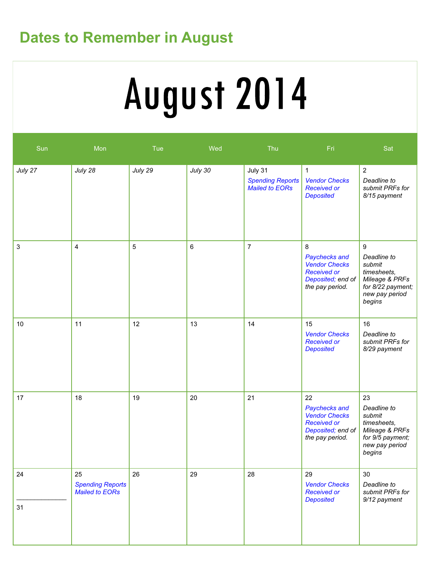## Dates to Remember in August

# August 2014

| Sun      | Mon                                             | Tue     | Wed            | Thu                                                         | Fri                                                                                                       | Sat                                                                                                          |
|----------|-------------------------------------------------|---------|----------------|-------------------------------------------------------------|-----------------------------------------------------------------------------------------------------------|--------------------------------------------------------------------------------------------------------------|
| July 27  | July 28                                         | July 29 | July 30        | July 31<br><b>Spending Reports</b><br><b>Mailed to EORs</b> | $\mathbf{1}$<br><b>Vendor Checks</b><br><b>Received or</b><br><b>Deposited</b>                            | $\overline{2}$<br>Deadline to<br>submit PRFs for<br>8/15 payment                                             |
| 3        | 4                                               | 5       | $6\phantom{a}$ | $\overline{7}$                                              | 8<br>Paychecks and<br><b>Vendor Checks</b><br><b>Received or</b><br>Deposited; end of<br>the pay period.  | 9<br>Deadline to<br>submit<br>timesheets,<br>Mileage & PRFs<br>for 8/22 payment;<br>new pay period<br>begins |
| 10       | 11                                              | 12      | 13             | 14                                                          | 15<br><b>Vendor Checks</b><br><b>Received or</b><br><b>Deposited</b>                                      | 16<br>Deadline to<br>submit PRFs for<br>8/29 payment                                                         |
| 17       | 18                                              | 19      | 20             | 21                                                          | 22<br>Paychecks and<br><b>Vendor Checks</b><br><b>Received or</b><br>Deposited; end of<br>the pay period. | 23<br>Deadline to<br>submit<br>timesheets,<br>Mileage & PRFs<br>for 9/5 payment;<br>new pay period<br>begins |
| 24<br>31 | 25<br><b>Spending Reports</b><br>Mailed to EORs | 26      | 29             | 28                                                          | 29<br><b>Vendor Checks</b><br><b>Received or</b><br><b>Deposited</b>                                      | 30<br>Deadline to<br>submit PRFs for<br>9/12 payment                                                         |